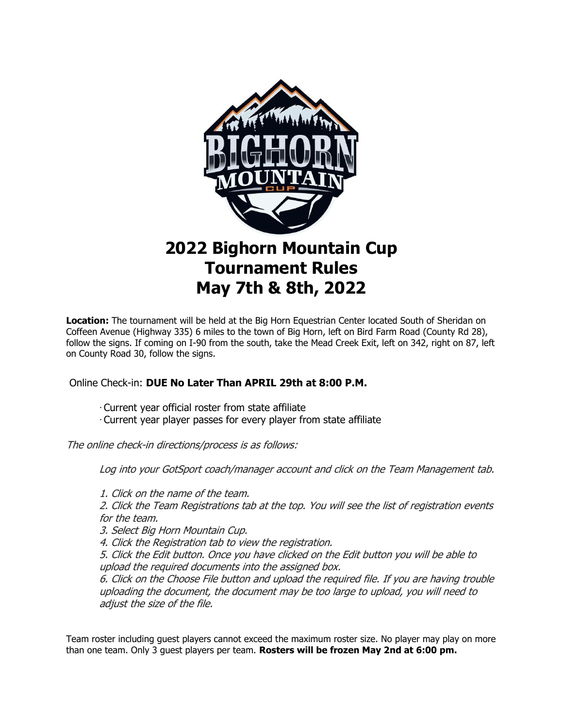

# **2022 Bighorn Mountain Cup Tournament Rules May 7th & 8th, 2022**

**Location:** The tournament will be held at the Big Horn Equestrian Center located South of Sheridan on Coffeen Avenue (Highway 335) 6 miles to the town of Big Horn, left on Bird Farm Road (County Rd 28), follow the signs. If coming on I-90 from the south, take the Mead Creek Exit, left on 342, right on 87, left on County Road 30, follow the signs.

# Online Check-in: **DUE No Later Than APRIL 29th at 8:00 P.M.**

- ∙ Current year official roster from state affiliate
- ∙ Current year player passes for every player from state affiliate

The online check-in directions/process is as follows:

Log into your GotSport coach/manager account and click on the Team Management tab.

1. Click on the name of the team.

2. Click the Team Registrations tab at the top. You will see the list of registration events for the team.

3. Select Big Horn Mountain Cup.

4. Click the Registration tab to view the registration.

5. Click the Edit button. Once you have clicked on the Edit button you will be able to upload the required documents into the assigned box.

6. Click on the Choose File button and upload the required file. If you are having trouble uploading the document, the document may be too large to upload, you will need to adjust the size of the file.

Team roster including guest players cannot exceed the maximum roster size. No player may play on more than one team. Only 3 guest players per team. **Rosters will be frozen May 2nd at 6:00 pm.**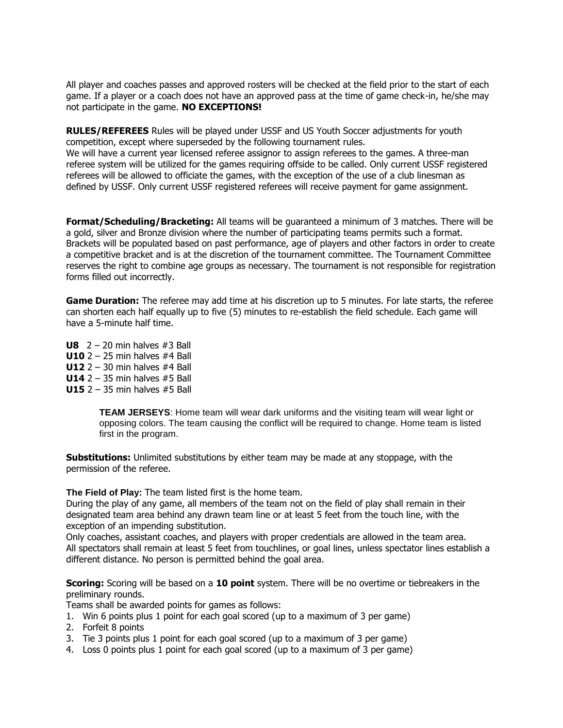All player and coaches passes and approved rosters will be checked at the field prior to the start of each game. If a player or a coach does not have an approved pass at the time of game check-in, he/she may not participate in the game. **NO EXCEPTIONS!**

**RULES/REFEREES** Rules will be played under USSF and US Youth Soccer adjustments for youth competition, except where superseded by the following tournament rules. We will have a current year licensed referee assignor to assign referees to the games. A three-man referee system will be utilized for the games requiring offside to be called. Only current USSF registered referees will be allowed to officiate the games, with the exception of the use of a club linesman as defined by USSF. Only current USSF registered referees will receive payment for game assignment.

**Format/Scheduling/Bracketing:** All teams will be guaranteed a minimum of 3 matches. There will be a gold, silver and Bronze division where the number of participating teams permits such a format. Brackets will be populated based on past performance, age of players and other factors in order to create a competitive bracket and is at the discretion of the tournament committee. The Tournament Committee reserves the right to combine age groups as necessary. The tournament is not responsible for registration forms filled out incorrectly.

**Game Duration:** The referee may add time at his discretion up to 5 minutes. For late starts, the referee can shorten each half equally up to five (5) minutes to re-establish the field schedule. Each game will have a 5-minute half time.

**U8**  $2 - 20$  min halves  $\#3$  Ball **U10** 2 – 25 min halves #4 Ball **U12** 2 – 30 min halves #4 Ball **U14** 2 – 35 min halves #5 Ball **U15** 2 – 35 min halves #5 Ball

> **TEAM JERSEYS**: Home team will wear dark uniforms and the visiting team will wear light or opposing colors. The team causing the conflict will be required to change. Home team is listed first in the program.

**Substitutions:** Unlimited substitutions by either team may be made at any stoppage, with the permission of the referee.

**The Field of Play:** The team listed first is the home team.

During the play of any game, all members of the team not on the field of play shall remain in their designated team area behind any drawn team line or at least 5 feet from the touch line, with the exception of an impending substitution.

Only coaches, assistant coaches, and players with proper credentials are allowed in the team area. All spectators shall remain at least 5 feet from touchlines, or goal lines, unless spectator lines establish a different distance. No person is permitted behind the goal area.

**Scoring:** Scoring will be based on a **10 point** system. There will be no overtime or tiebreakers in the preliminary rounds.

Teams shall be awarded points for games as follows:

- 1. Win 6 points plus 1 point for each goal scored (up to a maximum of 3 per game)
- 2. Forfeit 8 points
- 3. Tie 3 points plus 1 point for each goal scored (up to a maximum of 3 per game)
- 4. Loss 0 points plus 1 point for each goal scored (up to a maximum of 3 per game)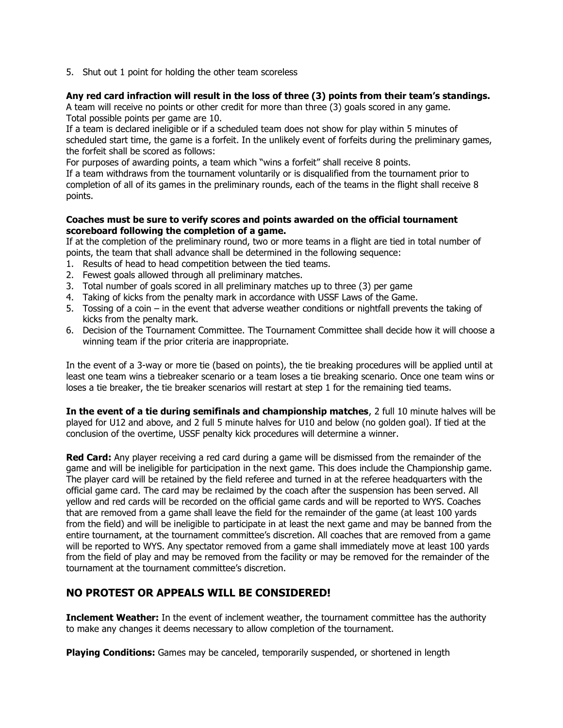5. Shut out 1 point for holding the other team scoreless

#### **Any red card infraction will result in the loss of three (3) points from their team's standings.**

A team will receive no points or other credit for more than three (3) goals scored in any game. Total possible points per game are 10.

If a team is declared ineligible or if a scheduled team does not show for play within 5 minutes of scheduled start time, the game is a forfeit. In the unlikely event of forfeits during the preliminary games, the forfeit shall be scored as follows:

For purposes of awarding points, a team which "wins a forfeit" shall receive 8 points.

If a team withdraws from the tournament voluntarily or is disqualified from the tournament prior to completion of all of its games in the preliminary rounds, each of the teams in the flight shall receive 8 points.

#### **Coaches must be sure to verify scores and points awarded on the official tournament scoreboard following the completion of a game.**

If at the completion of the preliminary round, two or more teams in a flight are tied in total number of points, the team that shall advance shall be determined in the following sequence:

- 1. Results of head to head competition between the tied teams.
- 2. Fewest goals allowed through all preliminary matches.
- 3. Total number of goals scored in all preliminary matches up to three (3) per game
- 4. Taking of kicks from the penalty mark in accordance with USSF Laws of the Game.
- 5. Tossing of a coin in the event that adverse weather conditions or nightfall prevents the taking of kicks from the penalty mark.
- 6. Decision of the Tournament Committee. The Tournament Committee shall decide how it will choose a winning team if the prior criteria are inappropriate.

In the event of a 3-way or more tie (based on points), the tie breaking procedures will be applied until at least one team wins a tiebreaker scenario or a team loses a tie breaking scenario. Once one team wins or loses a tie breaker, the tie breaker scenarios will restart at step 1 for the remaining tied teams.

**In the event of a tie during semifinals and championship matches**, 2 full 10 minute halves will be played for U12 and above, and 2 full 5 minute halves for U10 and below (no golden goal). If tied at the conclusion of the overtime, USSF penalty kick procedures will determine a winner.

**Red Card:** Any player receiving a red card during a game will be dismissed from the remainder of the game and will be ineligible for participation in the next game. This does include the Championship game. The player card will be retained by the field referee and turned in at the referee headquarters with the official game card. The card may be reclaimed by the coach after the suspension has been served. All yellow and red cards will be recorded on the official game cards and will be reported to WYS. Coaches that are removed from a game shall leave the field for the remainder of the game (at least 100 yards from the field) and will be ineligible to participate in at least the next game and may be banned from the entire tournament, at the tournament committee's discretion. All coaches that are removed from a game will be reported to WYS. Any spectator removed from a game shall immediately move at least 100 yards from the field of play and may be removed from the facility or may be removed for the remainder of the tournament at the tournament committee's discretion.

# **NO PROTEST OR APPEALS WILL BE CONSIDERED!**

**Inclement Weather:** In the event of inclement weather, the tournament committee has the authority to make any changes it deems necessary to allow completion of the tournament.

**Playing Conditions:** Games may be canceled, temporarily suspended, or shortened in length